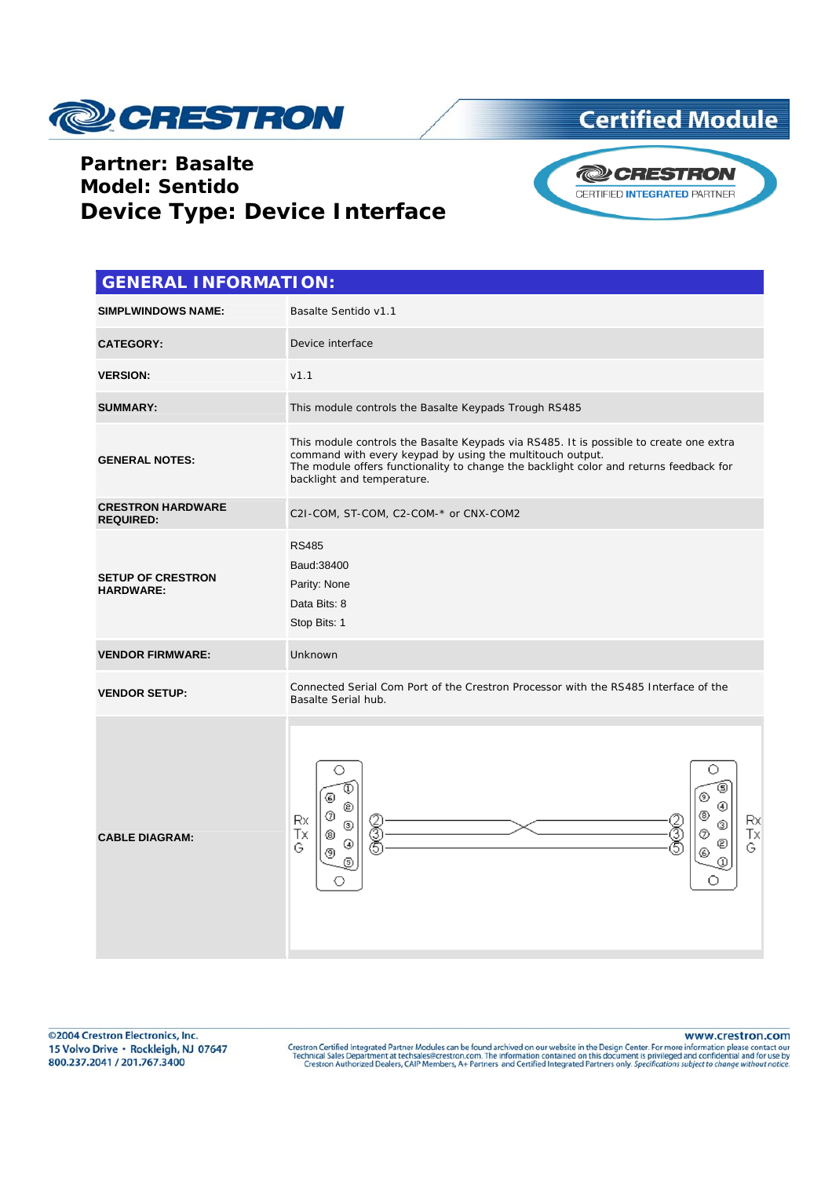

#### **Partner: Basalte Model: Sentido Device Type: Device Interface**



| <b>GENERAL INFORMATION:</b>                  |                                                                                                                                                                                                                                                                             |
|----------------------------------------------|-----------------------------------------------------------------------------------------------------------------------------------------------------------------------------------------------------------------------------------------------------------------------------|
| <b>SIMPLWINDOWS NAME:</b>                    | Basalte Sentido v1.1                                                                                                                                                                                                                                                        |
| <b>CATEGORY:</b>                             | Device interface                                                                                                                                                                                                                                                            |
| <b>VERSION:</b>                              | v1.1                                                                                                                                                                                                                                                                        |
| <b>SUMMARY:</b>                              | This module controls the Basalte Keypads Trough RS485                                                                                                                                                                                                                       |
| <b>GENERAL NOTES:</b>                        | This module controls the Basalte Keypads via RS485. It is possible to create one extra<br>command with every keypad by using the multitouch output.<br>The module offers functionality to change the backlight color and returns feedback for<br>backlight and temperature. |
| <b>CRESTRON HARDWARE</b><br><b>REQUIRED:</b> | C2I-COM, ST-COM, C2-COM-* or CNX-COM2                                                                                                                                                                                                                                       |
| <b>SETUP OF CRESTRON</b><br><b>HARDWARE:</b> | <b>RS485</b><br>Baud: 38400<br>Parity: None<br>Data Bits: 8<br>Stop Bits: 1                                                                                                                                                                                                 |
| <b>VENDOR FIRMWARE:</b>                      | Unknown                                                                                                                                                                                                                                                                     |
| <b>VENDOR SETUP:</b>                         | Connected Serial Com Port of the Crestron Processor with the RS485 Interface of the<br>Basalte Serial hub.                                                                                                                                                                  |
| <b>CABLE DIAGRAM:</b>                        | О<br>G)<br>⊚<br>Q<br>©<br>᠖<br>Rx<br>Rx<br>2<br>5<br>E<br>⊚<br>Тx<br>Tх<br>Ø<br>⊛<br>⊚<br>€<br>G<br>G<br>இ                                                                                                                                                                  |

©2004 Crestron Electronics, Inc. 15 Volvo Drive · Rockleigh, NJ 07647 800.237.2041 / 201.767.3400

www.crestron.com

Crestron Certified Integrated Partner Modules can be found archived on our website in the Design Center. For more information please contact our<br>Technical Sales Department at techsales@crestron.com. The information contain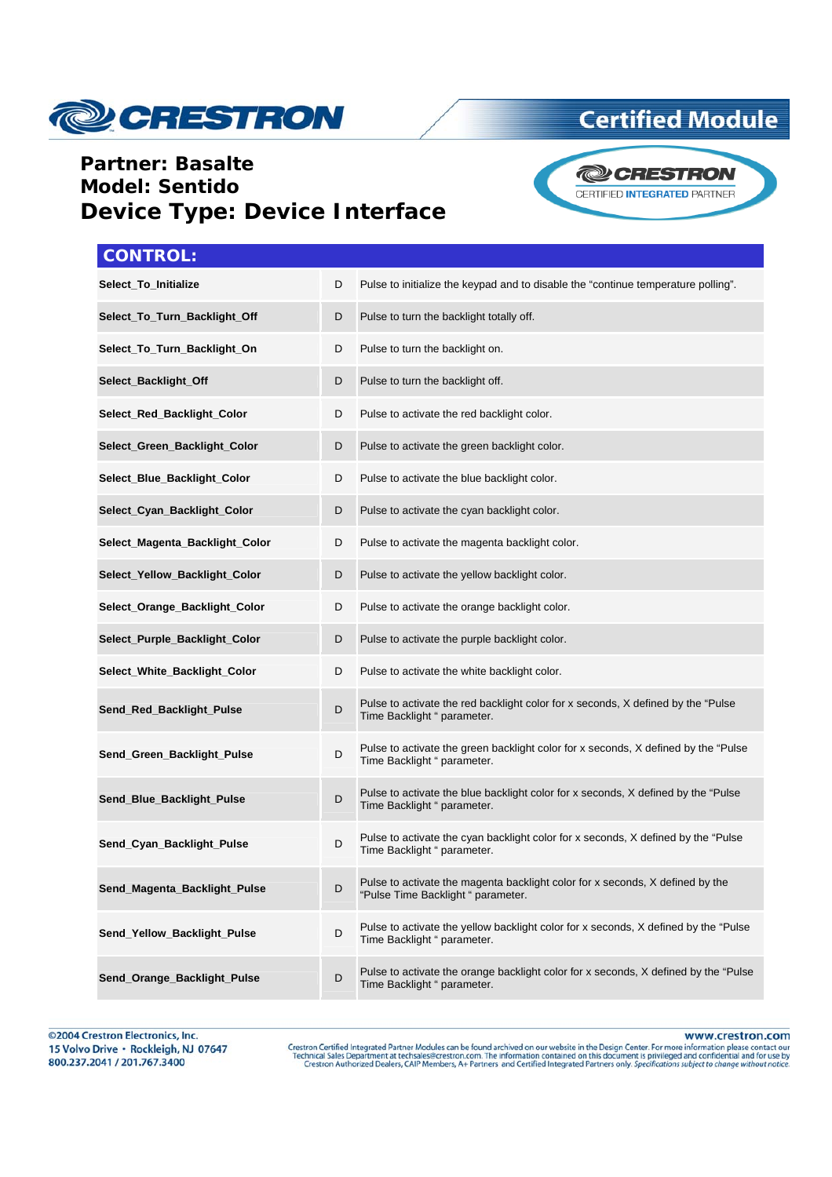

#### **Partner: Basalte Model: Sentido Device Type: Device Interface**



| <b>CONTROL:</b>                |   |                                                                                                                     |
|--------------------------------|---|---------------------------------------------------------------------------------------------------------------------|
| Select_To_Initialize           | D | Pulse to initialize the keypad and to disable the "continue temperature polling".                                   |
| Select_To_Turn_Backlight_Off   | D | Pulse to turn the backlight totally off.                                                                            |
| Select_To_Turn_Backlight_On    | D | Pulse to turn the backlight on.                                                                                     |
| Select_Backlight_Off           | D | Pulse to turn the backlight off.                                                                                    |
| Select_Red_Backlight_Color     | D | Pulse to activate the red backlight color.                                                                          |
| Select_Green_Backlight_Color   | D | Pulse to activate the green backlight color.                                                                        |
| Select_Blue_Backlight_Color    | D | Pulse to activate the blue backlight color.                                                                         |
| Select_Cyan_Backlight_Color    | D | Pulse to activate the cyan backlight color.                                                                         |
| Select_Magenta_Backlight_Color | D | Pulse to activate the magenta backlight color.                                                                      |
| Select_Yellow_Backlight_Color  | D | Pulse to activate the yellow backlight color.                                                                       |
| Select_Orange_Backlight_Color  | D | Pulse to activate the orange backlight color.                                                                       |
| Select_Purple_Backlight_Color  | D | Pulse to activate the purple backlight color.                                                                       |
| Select_White_Backlight_Color   | D | Pulse to activate the white backlight color.                                                                        |
| Send_Red_Backlight_Pulse       | D | Pulse to activate the red backlight color for x seconds, X defined by the "Pulse"<br>Time Backlight " parameter.    |
| Send_Green_Backlight_Pulse     | D | Pulse to activate the green backlight color for x seconds, X defined by the "Pulse"<br>Time Backlight " parameter.  |
| Send_Blue_Backlight_Pulse      | D | Pulse to activate the blue backlight color for x seconds, X defined by the "Pulse"<br>Time Backlight " parameter.   |
| Send_Cyan_Backlight_Pulse      | D | Pulse to activate the cyan backlight color for x seconds, X defined by the "Pulse"<br>Time Backlight " parameter.   |
| Send_Magenta_Backlight_Pulse   | D | Pulse to activate the magenta backlight color for x seconds, X defined by the<br>"Pulse Time Backlight " parameter. |
| Send_Yellow_Backlight_Pulse    | D | Pulse to activate the yellow backlight color for x seconds, X defined by the "Pulse<br>Time Backlight " parameter.  |
| Send_Orange_Backlight_Pulse    | D | Pulse to activate the orange backlight color for x seconds, X defined by the "Pulse"<br>Time Backlight " parameter. |

www.crestron.com Crestron Certified Integrated Partner Modules can be found archived on our website in the Design Center. For more information please contact our<br>Technical Sales Department at techsales@crestron.com. The information contain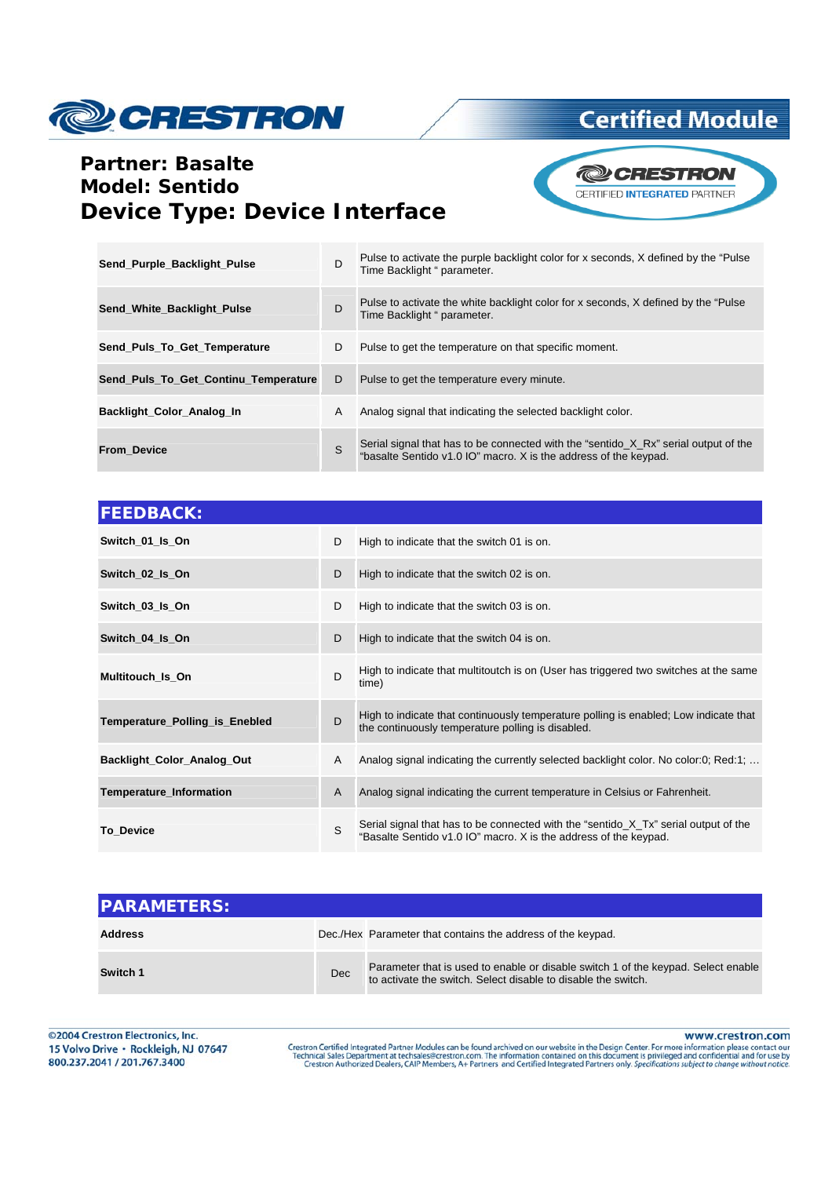

### **Partner: Basalte Model: Sentido Device Type: Device Interface**



| Send_Purple_Backlight_Pulse          | D | Pulse to activate the purple backlight color for x seconds, X defined by the "Pulse"<br>Time Backlight " parameter.                                     |
|--------------------------------------|---|---------------------------------------------------------------------------------------------------------------------------------------------------------|
| Send White Backlight Pulse           | D | Pulse to activate the white backlight color for x seconds, X defined by the "Pulse"<br>Time Backlight " parameter.                                      |
| Send Puls To Get Temperature         | D | Pulse to get the temperature on that specific moment.                                                                                                   |
| Send_Puls_To_Get_Continu_Temperature | D | Pulse to get the temperature every minute.                                                                                                              |
| Backlight Color Analog In            | A | Analog signal that indicating the selected backlight color.                                                                                             |
| <b>From Device</b>                   | S | Serial signal that has to be connected with the "sentido_X_Rx" serial output of the<br>"basalte Sentido v1.0 IO" macro. X is the address of the keypad. |

| <b>FEEDBACK:</b>               |   |                                                                                                                                                         |
|--------------------------------|---|---------------------------------------------------------------------------------------------------------------------------------------------------------|
| Switch 01_Is_On                | D | High to indicate that the switch 01 is on.                                                                                                              |
| Switch 02_ls_On                | D | High to indicate that the switch 02 is on.                                                                                                              |
| Switch 03_ls_On                | D | High to indicate that the switch 03 is on.                                                                                                              |
| Switch 04_Is_On                | D | High to indicate that the switch 04 is on.                                                                                                              |
| <b>Multitouch Is On</b>        | D | High to indicate that multitoutch is on (User has triggered two switches at the same<br>time)                                                           |
| Temperature_Polling_is_Enebled | D | High to indicate that continuously temperature polling is enabled; Low indicate that<br>the continuously temperature polling is disabled.               |
| Backlight_Color_Analog_Out     | A | Analog signal indicating the currently selected backlight color. No color:0; Red:1;                                                                     |
| Temperature_Information        | A | Analog signal indicating the current temperature in Celsius or Fahrenheit.                                                                              |
| <b>To Device</b>               | S | Serial signal that has to be connected with the "sentido_X_Tx" serial output of the<br>"Basalte Sentido v1.0 IO" macro. X is the address of the keypad. |

| <b>IPARAMETERS:</b> |            |                                                                                                                                                    |
|---------------------|------------|----------------------------------------------------------------------------------------------------------------------------------------------------|
| <b>Address</b>      |            | Dec./Hex Parameter that contains the address of the keypad.                                                                                        |
| Switch 1            | <b>Dec</b> | Parameter that is used to enable or disable switch 1 of the keypad. Select enable<br>to activate the switch. Select disable to disable the switch. |

©2004 Crestron Electronics, Inc. 15 Volvo Drive · Rockleigh, NJ 07647 800.237.2041 / 201.767.3400

www.crestron.com

Crestron Certified Integrated Partner Modules can be found archived on our website in the Design Center. For more information please contact our<br>Technical Sales Department at techsales@crestron.com. The information contain